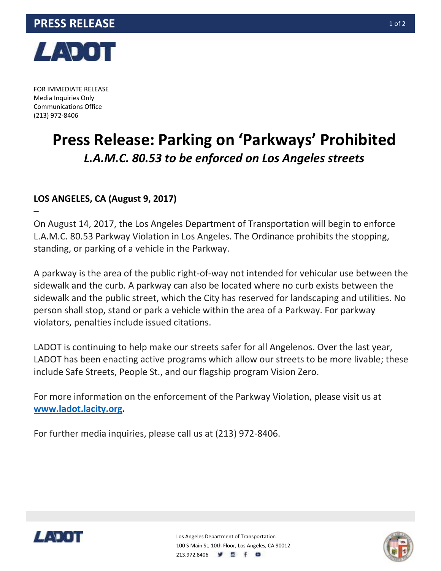

FOR IMMEDIATE RELEASE Media Inquiries Only Communications Office (213) 972-8406

–

## **Press Release: Parking on 'Parkways' Prohibited**  *L.A.M.C. 80.53 to be enforced on Los Angeles streets*

## **LOS ANGELES, CA (August 9, 2017)**

On August 14, 2017, the Los Angeles Department of Transportation will begin to enforce L.A.M.C. 80.53 Parkway Violation in Los Angeles. The Ordinance prohibits the stopping, standing, or parking of a vehicle in the Parkway.

A parkway is the area of the public right-of-way not intended for vehicular use between the sidewalk and the curb. A parkway can also be located where no curb exists between the sidewalk and the public street, which the City has reserved for landscaping and utilities. No person shall stop, stand or park a vehicle within the area of a Parkway. For parkway violators, penalties include issued citations.

LADOT is continuing to help make our streets safer for all Angelenos. Over the last year, LADOT has been enacting active programs which allow our streets to be more livable; these include Safe Streets, People St., and our flagship program Vision Zero.

For more information on the enforcement of the Parkway Violation, please visit us at **www.ladot.lacity.org.**

For further media inquiries, please call us at (213) 972-8406.